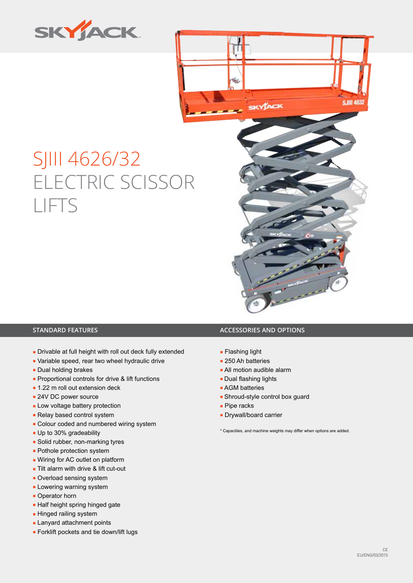



# SJIII 4626/32 ELECTRIC SCISSOR LIFTS



- Drivable at full height with roll out deck fully extended
- Variable speed, rear two wheel hydraulic drive
- Dual holding brakes
- Proportional controls for drive & lift functions
- 1.22 m roll out extension deck
- 24V DC power source
- Low voltage battery protection
- Relay based control system
- Colour coded and numbered wiring system
- Up to 30% gradeability
- Solid rubber, non-marking tyres
- Pothole protection system
- Wiring for AC outlet on platform
- Tilt alarm with drive & lift cut-out
- Overload sensing system
- **Lowering warning system**
- Operator horn
- Half height spring hinged gate
- **Hinged railing system**
- Lanyard attachment points
- Forklift pockets and tie down/lift lugs

### **STANDARD FEATURES ACCESSORIES AND OPTIONS**

- Flashing light
- 250 Ah batteries
- All motion audible alarm
- Dual flashing lights
- AGM batteries
- Shroud-style control box guard
- Pipe racks
- Drywall/board carrier

\* Capacities, and machine weights may differ when options are added.